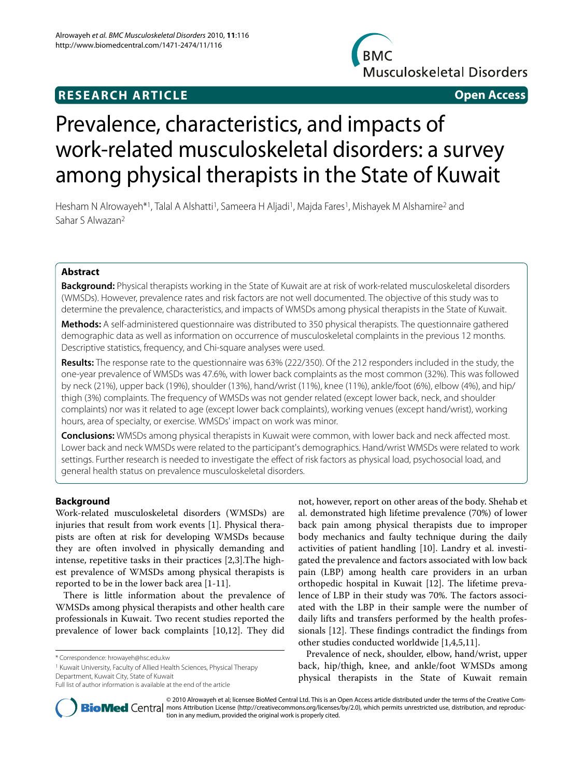### **RESEARCH ARTICLE Open Access**





# Prevalence, characteristics, and impacts of work-related musculoskeletal disorders: a survey among physical therapists in the State of Kuwait

Hesham N Alrowayeh\*1, Talal A Alshatti<sup>1</sup>, Sameera H Aljadi<sup>1</sup>, Majda Fares<sup>1</sup>, Mishayek M Alshamire<sup>2</sup> and Sahar S Alwazan2

#### **Abstract**

**Background:** Physical therapists working in the State of Kuwait are at risk of work-related musculoskeletal disorders (WMSDs). However, prevalence rates and risk factors are not well documented. The objective of this study was to determine the prevalence, characteristics, and impacts of WMSDs among physical therapists in the State of Kuwait.

**Methods:** A self-administered questionnaire was distributed to 350 physical therapists. The questionnaire gathered demographic data as well as information on occurrence of musculoskeletal complaints in the previous 12 months. Descriptive statistics, frequency, and Chi-square analyses were used.

**Results:** The response rate to the questionnaire was 63% (222/350). Of the 212 responders included in the study, the one-year prevalence of WMSDs was 47.6%, with lower back complaints as the most common (32%). This was followed by neck (21%), upper back (19%), shoulder (13%), hand/wrist (11%), knee (11%), ankle/foot (6%), elbow (4%), and hip/ thigh (3%) complaints. The frequency of WMSDs was not gender related (except lower back, neck, and shoulder complaints) nor was it related to age (except lower back complaints), working venues (except hand/wrist), working hours, area of specialty, or exercise. WMSDs' impact on work was minor.

**Conclusions:** WMSDs among physical therapists in Kuwait were common, with lower back and neck affected most. Lower back and neck WMSDs were related to the participant's demographics. Hand/wrist WMSDs were related to work settings. Further research is needed to investigate the effect of risk factors as physical load, psychosocial load, and general health status on prevalence musculoskeletal disorders.

#### **Background**

Work-related musculoskeletal disorders (WMSDs) are injuries that result from work events [[1\]](#page-9-0). Physical therapists are often at risk for developing WMSDs because they are often involved in physically demanding and intense, repetitive tasks in their practices [[2,](#page-9-1)[3\]](#page-9-2).The highest prevalence of WMSDs among physical therapists is reported to be in the lower back area [[1-](#page-9-0)[11](#page-10-0)].

There is little information about the prevalence of WMSDs among physical therapists and other health care professionals in Kuwait. Two recent studies reported the prevalence of lower back complaints [\[10](#page-10-1)[,12](#page-10-2)]. They did

1 Kuwait University, Faculty of Allied Health Sciences, Physical Therapy Department, Kuwait City, State of Kuwait

not, however, report on other areas of the body. Shehab et al. demonstrated high lifetime prevalence (70%) of lower back pain among physical therapists due to improper body mechanics and faulty technique during the daily activities of patient handling [[10\]](#page-10-1). Landry et al. investigated the prevalence and factors associated with low back pain (LBP) among health care providers in an urban orthopedic hospital in Kuwait [\[12\]](#page-10-2). The lifetime prevalence of LBP in their study was 70%. The factors associated with the LBP in their sample were the number of daily lifts and transfers performed by the health professionals [[12\]](#page-10-2). These findings contradict the findings from other studies conducted worldwide [[1,](#page-9-0)[4,](#page-9-3)[5](#page-9-4)[,11\]](#page-10-0).

Prevalence of neck, shoulder, elbow, hand/wrist, upper back, hip/thigh, knee, and ankle/foot WMSDs among physical therapists in the State of Kuwait remain



© 2010 Alrowayeh et al; licensee BioMed Central Ltd. This is an Open Access article distributed under the terms of the Creative Com-**BioMed** Central mons Attribution License (http://creativecommons.org/licenses/by/2.0), which permits unrestricted use, distribution, and reproduction in any medium, provided the original work is properly cited.

<sup>\*</sup> Correspondence: hrowayeh@hsc.edu.kw

Full list of author information is available at the end of the article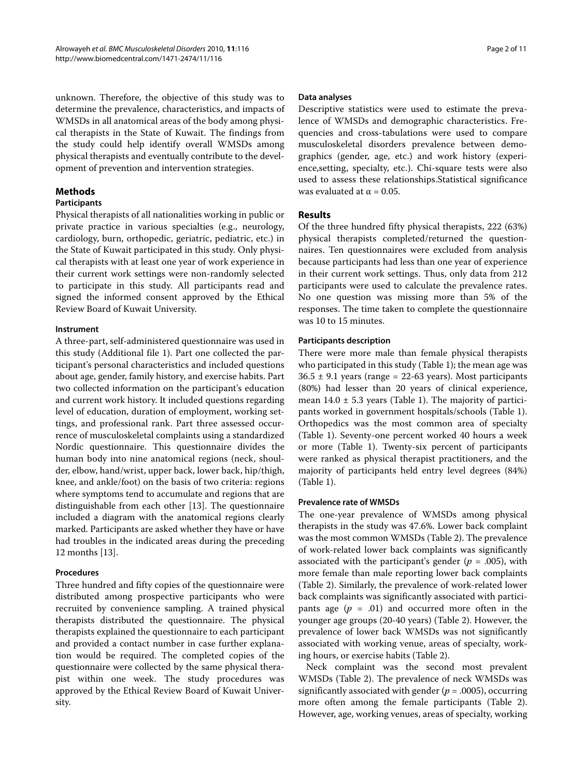unknown. Therefore, the objective of this study was to determine the prevalence, characteristics, and impacts of WMSDs in all anatomical areas of the body among physical therapists in the State of Kuwait. The findings from the study could help identify overall WMSDs among physical therapists and eventually contribute to the development of prevention and intervention strategies.

#### **Methods**

#### **Participants**

Physical therapists of all nationalities working in public or private practice in various specialties (e.g., neurology, cardiology, burn, orthopedic, geriatric, pediatric, etc.) in the State of Kuwait participated in this study. Only physical therapists with at least one year of work experience in their current work settings were non-randomly selected to participate in this study. All participants read and signed the informed consent approved by the Ethical Review Board of Kuwait University.

#### **Instrument**

A three-part, self-administered questionnaire was used in this study (Additional file [1\)](#page-9-5). Part one collected the participant's personal characteristics and included questions about age, gender, family history, and exercise habits. Part two collected information on the participant's education and current work history. It included questions regarding level of education, duration of employment, working settings, and professional rank. Part three assessed occurrence of musculoskeletal complaints using a standardized Nordic questionnaire. This questionnaire divides the human body into nine anatomical regions (neck, shoulder, elbow, hand/wrist, upper back, lower back, hip/thigh, knee, and ankle/foot) on the basis of two criteria: regions where symptoms tend to accumulate and regions that are distinguishable from each other [\[13\]](#page-10-3). The questionnaire included a diagram with the anatomical regions clearly marked. Participants are asked whether they have or have had troubles in the indicated areas during the preceding 12 months [\[13](#page-10-3)].

#### **Procedures**

Three hundred and fifty copies of the questionnaire were distributed among prospective participants who were recruited by convenience sampling. A trained physical therapists distributed the questionnaire. The physical therapists explained the questionnaire to each participant and provided a contact number in case further explanation would be required. The completed copies of the questionnaire were collected by the same physical therapist within one week. The study procedures was approved by the Ethical Review Board of Kuwait University.

#### **Data analyses**

Descriptive statistics were used to estimate the prevalence of WMSDs and demographic characteristics. Frequencies and cross-tabulations were used to compare musculoskeletal disorders prevalence between demographics (gender, age, etc.) and work history (experience,setting, specialty, etc.). Chi-square tests were also used to assess these relationships.Statistical significance was evaluated at  $\alpha$  = 0.05.

#### **Results**

Of the three hundred fifty physical therapists, 222 (63%) physical therapists completed/returned the questionnaires. Ten questionnaires were excluded from analysis because participants had less than one year of experience in their current work settings. Thus, only data from 212 participants were used to calculate the prevalence rates. No one question was missing more than 5% of the responses. The time taken to complete the questionnaire was 10 to 15 minutes.

#### **Participants description**

There were more male than female physical therapists who participated in this study (Table 1); the mean age was  $36.5 \pm 9.1$  years (range = 22-63 years). Most participants (80%) had lesser than 20 years of clinical experience, mean  $14.0 \pm 5.3$  years (Table 1). The majority of participants worked in government hospitals/schools (Table 1). Orthopedics was the most common area of specialty (Table 1). Seventy-one percent worked 40 hours a week or more (Table 1). Twenty-six percent of participants were ranked as physical therapist practitioners, and the majority of participants held entry level degrees (84%) (Table 1).

#### **Prevalence rate of WMSDs**

The one-year prevalence of WMSDs among physical therapists in the study was 47.6%. Lower back complaint was the most common WMSDs (Table 2). The prevalence of work-related lower back complaints was significantly associated with the participant's gender  $(p = .005)$ , with more female than male reporting lower back complaints (Table 2). Similarly, the prevalence of work-related lower back complaints was significantly associated with participants age  $(p = .01)$  and occurred more often in the younger age groups (20-40 years) (Table 2). However, the prevalence of lower back WMSDs was not significantly associated with working venue, areas of specialty, working hours, or exercise habits (Table 2).

Neck complaint was the second most prevalent WMSDs (Table 2). The prevalence of neck WMSDs was significantly associated with gender (*p* = .0005), occurring more often among the female participants (Table 2). However, age, working venues, areas of specialty, working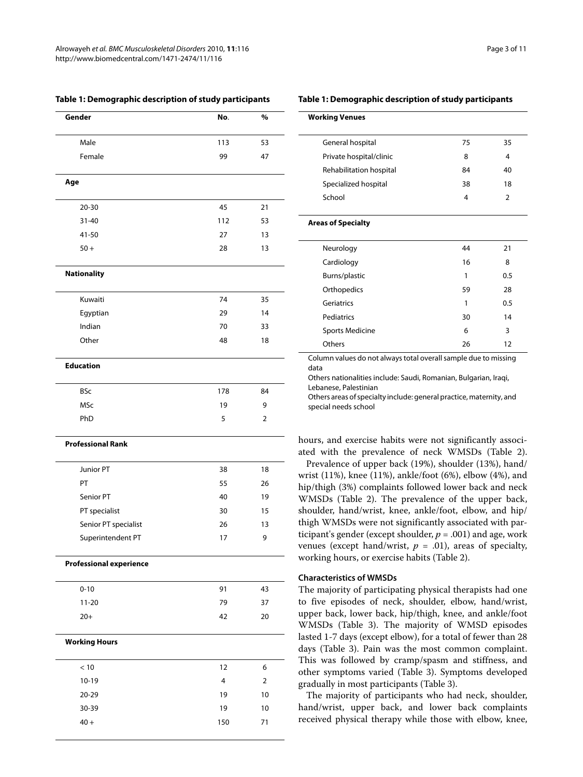| Gender                         | No. | %  |
|--------------------------------|-----|----|
| Male                           | 113 | 53 |
| Female                         | 99  | 47 |
| Age                            |     |    |
| $20 - 30$                      | 45  | 21 |
| $31 - 40$                      | 112 | 53 |
| 41-50                          | 27  | 13 |
| $50+$                          | 28  | 13 |
| <b>Nationality</b>             |     |    |
| Kuwaiti                        | 74  | 35 |
| Egyptian                       | 29  | 14 |
| Indian                         | 70  | 33 |
| Other                          | 48  | 18 |
| <b>Education</b>               |     |    |
| <b>BSc</b>                     | 178 | 84 |
| <b>MSc</b>                     | 19  | 9  |
| PhD                            | 5   | 2  |
| <b>Professional Rank</b>       |     |    |
| Junior PT                      | 38  | 18 |
| PT                             | 55  | 26 |
| Senior PT                      | 40  | 19 |
| PT specialist                  | 30  | 15 |
| Senior PT specialist           | 26  | 13 |
| Superintendent PT              | 17  | 9  |
| <b>Professional experience</b> |     |    |
| $0 - 10$                       | 91  | 43 |
| $11 - 20$                      | 79  | 37 |
| $20+$                          | 42  | 20 |
| <b>Working Hours</b>           |     |    |
| $<10\,$                        | 12  | 6  |
| $10-19$                        | 4   | 2  |
| 20-29                          | 19  | 10 |
| 30-39                          | 19  | 10 |
| $40 +$                         | 150 | 71 |
|                                |     |    |

#### **Table 1: Demographic description of study participants**

#### **Table 1: Demographic description of study participants**

| <b>Working Venues</b>                                                    |    |                |
|--------------------------------------------------------------------------|----|----------------|
| General hospital                                                         | 75 | 35             |
| Private hospital/clinic                                                  | 8  | 4              |
| Rehabilitation hospital                                                  | 84 | 40             |
| Specialized hospital                                                     | 38 | 18             |
| School                                                                   | 4  | $\overline{2}$ |
| <b>Areas of Specialty</b>                                                |    |                |
| Neurology                                                                | 44 | 21             |
| Cardiology                                                               | 16 | 8              |
| Burns/plastic                                                            | 1  | 0.5            |
| Orthopedics                                                              | 59 | 28             |
| Geriatrics                                                               | 1  | 0.5            |
| Pediatrics                                                               | 30 | 14             |
| <b>Sports Medicine</b>                                                   | 6  | 3              |
| Others                                                                   | 26 | 12             |
| Column values do not always total overall sample due to missing<br>جدداء |    |                |

data

Others nationalities include: Saudi, Romanian, Bulgarian, Iraqi, Lebanese, Palestinian

Others areas of specialty include: general practice, maternity, and special needs school

hours, and exercise habits were not significantly associated with the prevalence of neck WMSDs (Table 2).

Prevalence of upper back (19%), shoulder (13%), hand/ wrist (11%), knee (11%), ankle/foot (6%), elbow (4%), and hip/thigh (3%) complaints followed lower back and neck WMSDs (Table [2](#page-3-0)). The prevalence of the upper back, shoulder, hand/wrist, knee, ankle/foot, elbow, and hip/ thigh WMSDs were not significantly associated with participant's gender (except shoulder,  $p = .001$ ) and age, work venues (except hand/wrist,  $p = .01$ ), areas of specialty, working hours, or exercise habits (Table 2).

#### **Characteristics of WMSDs**

The majority of participating physical therapists had one to five episodes of neck, shoulder, elbow, hand/wrist, upper back, lower back, hip/thigh, knee, and ankle/foot WMSDs (Table 3). The majority of WMSD episodes lasted 1-7 days (except elbow), for a total of fewer than 28 days (Table [3](#page-5-0)). Pain was the most common complaint. This was followed by cramp/spasm and stiffness, and other symptoms varied (Table [3](#page-5-0)). Symptoms developed gradually in most participants (Table 3).

The majority of participants who had neck, shoulder, hand/wrist, upper back, and lower back complaints received physical therapy while those with elbow, knee,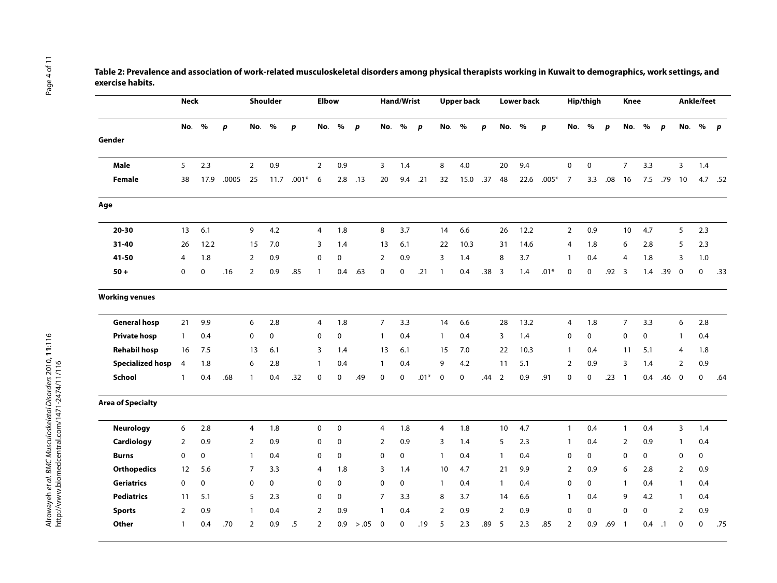|                  | Table 2: Prevalence and association of work-related musculoskeletal disorders among physical therapists working in Kuwait to demographics, work settings, and |
|------------------|---------------------------------------------------------------------------------------------------------------------------------------------------------------|
| exercise habits. |                                                                                                                                                               |

<span id="page-3-0"></span>

|                          | <b>Neck</b>  |      |       |                | Shoulder    |                  | <b>Elbow</b>   |             |                  |                | <b>Hand/Wrist</b> |                  |                | <b>Upper back</b> |                  |                | <b>Lower back</b> |                  |                          | Hip/thigh   |                  | <b>Knee</b>    |      |                  |                | Ankle/feet  |              |
|--------------------------|--------------|------|-------|----------------|-------------|------------------|----------------|-------------|------------------|----------------|-------------------|------------------|----------------|-------------------|------------------|----------------|-------------------|------------------|--------------------------|-------------|------------------|----------------|------|------------------|----------------|-------------|--------------|
|                          | No.          | %    | p     | No.            | $\%$        | $\boldsymbol{p}$ | No.            | $\%$        | $\boldsymbol{p}$ |                | No. %             | $\boldsymbol{p}$ | No.            | $\%$              | $\boldsymbol{p}$ | No.            | $\%$              | $\boldsymbol{p}$ | No.                      | $\%$        | $\boldsymbol{p}$ | No.            | $\%$ | $\boldsymbol{p}$ | No.            | %           | $\mathbf{p}$ |
| Gender                   |              |      |       |                |             |                  |                |             |                  |                |                   |                  |                |                   |                  |                |                   |                  |                          |             |                  |                |      |                  |                |             |              |
| Male                     | 5            | 2.3  |       | $\overline{2}$ | 0.9         |                  | $\overline{2}$ | 0.9         |                  | 3              | 1.4               |                  | 8              | 4.0               |                  | 20             | 9.4               |                  | $\mathbf 0$              | $\pmb{0}$   |                  | $\overline{7}$ | 3.3  |                  | 3              | 1.4         |              |
| <b>Female</b>            | 38           | 17.9 | .0005 | 25             | 11.7        | $.001*$          | 6              |             | $2.8$ .13        | 20             | 9.4               | .21              | 32             | 15.0              | .37              | 48             | 22.6              | $.005*$          | $\overline{7}$           | 3.3         | .08              | 16             | 7.5  | .79              | 10             |             | 4.7 .52      |
| Age                      |              |      |       |                |             |                  |                |             |                  |                |                   |                  |                |                   |                  |                |                   |                  |                          |             |                  |                |      |                  |                |             |              |
| $20 - 30$                | 13           | 6.1  |       | 9              | 4.2         |                  | 4              | 1.8         |                  | 8              | 3.7               |                  | 14             | 6.6               |                  | 26             | 12.2              |                  | $\overline{2}$           | 0.9         |                  | 10             | 4.7  |                  | 5              | 2.3         |              |
| 31-40                    | 26           | 12.2 |       | 15             | 7.0         |                  | 3              | 1.4         |                  | 13             | 6.1               |                  | 22             | 10.3              |                  | 31             | 14.6              |                  | 4                        | 1.8         |                  | 6              | 2.8  |                  | 5              | 2.3         |              |
| 41-50                    | 4            | 1.8  |       | $\overline{2}$ | 0.9         |                  | 0              | 0           |                  | $\overline{2}$ | 0.9               |                  | 3              | 1.4               |                  | 8              | 3.7               |                  | -1                       | 0.4         |                  | $\overline{4}$ | 1.8  |                  | 3              | 1.0         |              |
| $50 +$                   | 0            | 0    | .16   | $\overline{2}$ | 0.9         | .85              | $\mathbf{1}$   | 0.4         | .63              | 0              | $\mathbf 0$       | .21              | $\overline{1}$ | 0.4               | .38              | $\overline{3}$ | 1.4               | $.01*$           | $\mathbf 0$              | $\mathbf 0$ | .92              | $\overline{3}$ | 1.4  | .39              | $\mathbf 0$    | 0           | .33          |
| <b>Working venues</b>    |              |      |       |                |             |                  |                |             |                  |                |                   |                  |                |                   |                  |                |                   |                  |                          |             |                  |                |      |                  |                |             |              |
| <b>General hosp</b>      | 21           | 9.9  |       | 6              | 2.8         |                  | 4              | 1.8         |                  | $\overline{7}$ | 3.3               |                  | 14             | 6.6               |                  | 28             | 13.2              |                  | 4                        | 1.8         |                  | $\overline{7}$ | 3.3  |                  | 6              | 2.8         |              |
| <b>Private hosp</b>      | $\mathbf{1}$ | 0.4  |       | 0              | $\mathbf 0$ |                  | $\mathbf 0$    | $\mathbf 0$ |                  | $\overline{1}$ | 0.4               |                  | $\mathbf{1}$   | 0.4               |                  | 3              | 1.4               |                  | $\mathbf 0$              | $\mathbf 0$ |                  | 0              | 0    |                  | $\mathbf{1}$   | 0.4         |              |
| <b>Rehabil hosp</b>      | 16           | 7.5  |       | 13             | 6.1         |                  | 3              | 1.4         |                  | 13             | 6.1               |                  | 15             | 7.0               |                  | 22             | 10.3              |                  | -1                       | 0.4         |                  | 11             | 5.1  |                  | 4              | 1.8         |              |
| <b>Specialized hosp</b>  | 4            | 1.8  |       | 6              | 2.8         |                  | $\mathbf{1}$   | 0.4         |                  | $\overline{1}$ | 0.4               |                  | 9              | 4.2               |                  | 11             | 5.1               |                  | 2                        | 0.9         |                  | 3              | 1.4  |                  | 2              | 0.9         |              |
| School                   | $\mathbf{1}$ | 0.4  | .68   | $\mathbf{1}$   | 0.4         | .32              | 0              | $\mathbf 0$ | .49              | 0              | $\mathbf 0$       | $.01*$           | 0              | $\mathbf 0$       | .44              | $\overline{2}$ | 0.9               | .91              | $\mathbf 0$              | $\pmb{0}$   | .23              | $\overline{1}$ | 0.4  | .46              | $\overline{0}$ | 0           | .64          |
| <b>Area of Specialty</b> |              |      |       |                |             |                  |                |             |                  |                |                   |                  |                |                   |                  |                |                   |                  |                          |             |                  |                |      |                  |                |             |              |
| <b>Neurology</b>         | 6            | 2.8  |       | 4              | 1.8         |                  | $\pmb{0}$      | $\mathbf 0$ |                  | $\overline{4}$ | 1.8               |                  | $\overline{4}$ | 1.8               |                  | 10             | 4.7               |                  | $\mathbf{1}$             | 0.4         |                  | $\mathbf{1}$   | 0.4  |                  | 3              | 1.4         |              |
| Cardiology               | 2            | 0.9  |       | $\overline{2}$ | 0.9         |                  | 0              | $\mathbf 0$ |                  | $\overline{2}$ | 0.9               |                  | 3              | 1.4               |                  | 5              | 2.3               |                  | $\mathbf{1}$             | 0.4         |                  | $\overline{2}$ | 0.9  |                  | $\mathbf{1}$   | 0.4         |              |
| <b>Burns</b>             | $\mathbf 0$  | 0    |       | $\mathbf{1}$   | 0.4         |                  | 0              | $\mathbf 0$ |                  | $\mathbf 0$    | 0                 |                  | $\overline{1}$ | 0.4               |                  | $\mathbf{1}$   | 0.4               |                  | $\mathbf 0$              | $\mathbf 0$ |                  | 0              | 0    |                  | 0              | $\mathbf 0$ |              |
| <b>Orthopedics</b>       | 12           | 5.6  |       | $\overline{7}$ | 3.3         |                  | $\overline{4}$ | 1.8         |                  | 3              | 1.4               |                  | 10             | 4.7               |                  | 21             | 9.9               |                  | $\overline{2}$           | 0.9         |                  | 6              | 2.8  |                  | 2              | 0.9         |              |
| <b>Geriatrics</b>        | 0            | 0    |       | 0              | $\mathbf 0$ |                  | 0              | $\mathbf 0$ |                  | $\mathbf 0$    | 0                 |                  | $\overline{1}$ | 0.4               |                  | 1              | 0.4               |                  | $\mathbf 0$              | 0           |                  | $\mathbf{1}$   | 0.4  |                  | $\mathbf{1}$   | 0.4         |              |
| <b>Pediatrics</b>        | 11           | 5.1  |       | 5              | 2.3         |                  | 0              | $\mathbf 0$ |                  | $\overline{7}$ | 3.3               |                  | 8              | 3.7               |                  | 14             | 6.6               |                  | $\overline{\phantom{a}}$ | 0.4         |                  | 9              | 4.2  |                  | $\mathbf{1}$   | 0.4         |              |
| <b>Sports</b>            | 2            | 0.9  |       | $\mathbf{1}$   | 0.4         |                  | $\overline{2}$ | 0.9         |                  | $\mathbf{1}$   | 0.4               |                  | $\overline{2}$ | 0.9               |                  | 2              | 0.9               |                  | $\mathbf 0$              | 0           |                  | $\mathbf 0$    | 0    |                  | 2              | 0.9         |              |
| Other                    | $\mathbf{1}$ | 0.4  | .70   | $\overline{2}$ | 0.9         | .5               | $\overline{2}$ | 0.9         | > .05            | $\mathbf 0$    | $\mathbf 0$       | .19              | 5              | 2.3               | .89              | 5              | 2.3               | .85              | $\overline{2}$           | 0.9         | .69              | $\overline{1}$ | 0.4  | $\cdot$ .1       | $\mathbf 0$    | 0           | .75          |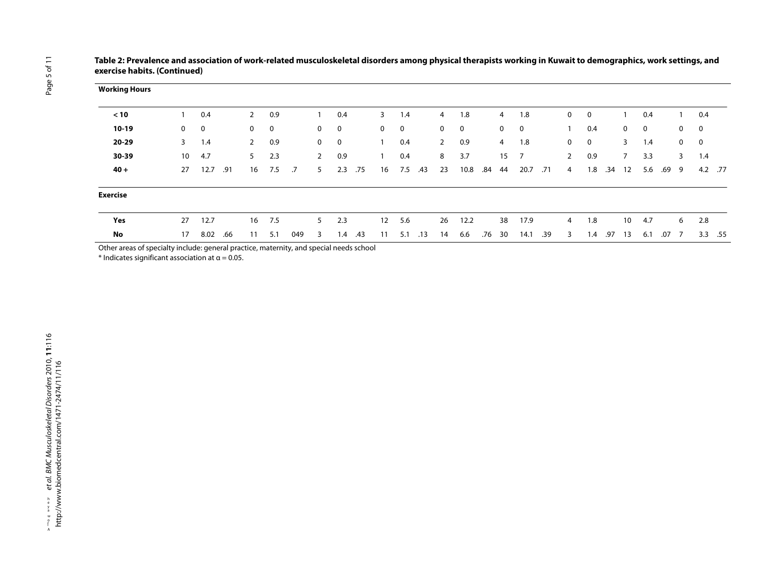| <b>Working Hours</b>                                                                   |              |      |     |                |     |     |                |     |     |                   |     |     |                |      |     |                |                         |     |             |     |     |                 |             |       |              |             |           |
|----------------------------------------------------------------------------------------|--------------|------|-----|----------------|-----|-----|----------------|-----|-----|-------------------|-----|-----|----------------|------|-----|----------------|-------------------------|-----|-------------|-----|-----|-----------------|-------------|-------|--------------|-------------|-----------|
| < 10                                                                                   |              | 0.4  |     | $\overline{2}$ | 0.9 |     |                | 0.4 |     | 3                 | 1.4 |     | 4              | 1.8  |     | 4              | 1.8                     |     | 0           | 0   |     |                 | 0.4         |       |              | 0.4         |           |
| $10-19$                                                                                | $\mathbf{0}$ | 0    |     | $\mathbf{0}$   | 0   |     | $\mathbf{0}$   | 0   |     | 0                 | 0   |     | $\mathbf{0}$   | 0    |     | $\mathbf{0}$   | $\overline{\mathbf{0}}$ |     |             | 0.4 |     | $\overline{0}$  | $\mathbf 0$ |       | $\mathbf 0$  | 0           |           |
| 20-29                                                                                  | 3            | 1.4  |     | $\mathbf{2}$   | 0.9 |     | $\mathbf{0}$   | 0   |     |                   | 0.4 |     | $\overline{2}$ | 0.9  |     | $\overline{4}$ | 1.8                     |     | $\mathbf 0$ | 0   |     | $\mathbf{3}$    | 1.4         |       | $\mathbf{0}$ | $\mathbf 0$ |           |
| 30-39                                                                                  | 10           | 4.7  |     | 5              | 2.3 |     | $\overline{2}$ | 0.9 |     |                   | 0.4 |     | 8              | 3.7  |     | 15             | $\overline{7}$          |     | $2^{\circ}$ | 0.9 |     | $7^{\circ}$     | 3.3         |       | 3            | 1.4         |           |
| $40 +$                                                                                 | 27           | 12.7 | .91 | 16             | 7.5 | .7  | 5              | 2.3 | .75 | 16                | 7.5 | .43 | 23             | 10.8 | .84 | 44             | 20.7                    | .71 | 4           | 1.8 | .34 | 12              | 5.6         | .69 9 |              |             | 4.2 .77   |
| <b>Exercise</b>                                                                        |              |      |     |                |     |     |                |     |     |                   |     |     |                |      |     |                |                         |     |             |     |     |                 |             |       |              |             |           |
| Yes                                                                                    | 27           | 12.7 |     | 16             | 7.5 |     | 5              | 2.3 |     | $12 \overline{ }$ | 5.6 |     | 26             | 12.2 |     | 38             | 17.9                    |     | 4           | 1.8 |     | 10 <sup>°</sup> | 4.7         |       | 6            | 2.8         |           |
| No                                                                                     | 17           | 8.02 | .66 | 11             | 5.1 | 049 | 3              | 1.4 | .43 | 11                | 5.1 | .13 | 14             | 6.6  | .76 | 30             | 14.1                    | .39 | 3           | 1.4 | .97 | 13              | 6.1         | .07 7 |              |             | $3.3$ .55 |
| Other areas of specialty include: general practice maternity, and special peods school |              |      |     |                |     |     |                |     |     |                   |     |     |                |      |     |                |                         |     |             |     |     |                 |             |       |              |             |           |

**Table 2: Prevalence and association of work-related musculoskeletal disorders among physical therapists working in Kuwait to demographics, work settings, and exercise habits. (Continued)**

Other areas of specialty include: general practice, maternity, and special needs school

\* Indicates significant association at  $\alpha$  = 0.05.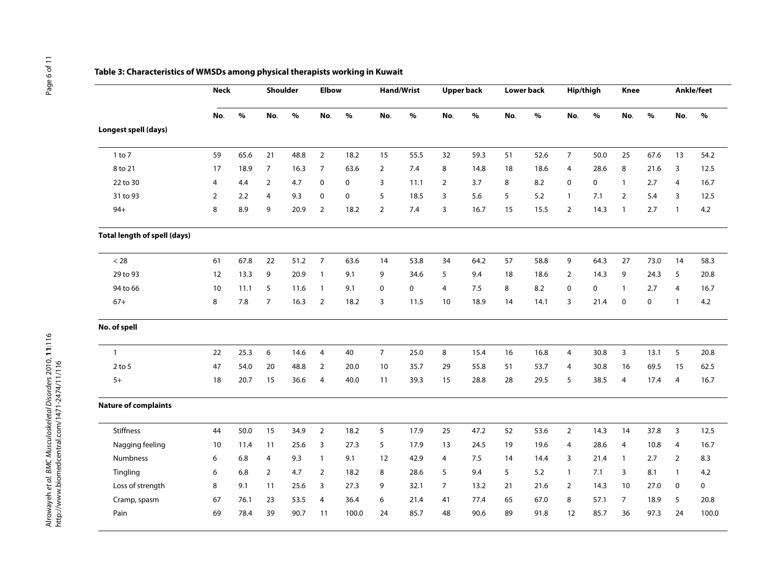<span id="page-5-0"></span>

|                                     | <b>Neck</b>    |      | Shoulder       |      | <b>Elbow</b>   |       |                | Hand/Wrist |                | <b>Upper back</b> |     | Lower back | Hip/thigh      |      | <b>Knee</b>    |      |                | Ankle/feet  |
|-------------------------------------|----------------|------|----------------|------|----------------|-------|----------------|------------|----------------|-------------------|-----|------------|----------------|------|----------------|------|----------------|-------------|
|                                     | No.            | $\%$ | No.            | $\%$ | No.            | $\%$  | No.            | $\%$       | No.            | $\%$              | No. | $\%$       | No.            | $\%$ | No.            | $\%$ | No.            | $\%$        |
| Longest spell (days)                |                |      |                |      |                |       |                |            |                |                   |     |            |                |      |                |      |                |             |
| $1$ to $7$                          | 59             | 65.6 | 21             | 48.8 | $\overline{2}$ | 18.2  | 15             | 55.5       | 32             | 59.3              | 51  | 52.6       | $\overline{7}$ | 50.0 | 25             | 67.6 | 13             | 54.2        |
| 8 to 21                             | 17             | 18.9 | $\overline{7}$ | 16.3 | $\overline{7}$ | 63.6  | $\overline{2}$ | 7.4        | 8              | 14.8              | 18  | 18.6       | 4              | 28.6 | 8              | 21.6 | 3              | 12.5        |
| 22 to 30                            | $\overline{4}$ | 4.4  | $\overline{2}$ | 4.7  | $\mathbf 0$    | 0     | 3              | 11.1       | $\overline{2}$ | 3.7               | 8   | 8.2        | 0              | 0    | $\overline{1}$ | 2.7  | 4              | 16.7        |
| 31 to 93                            | $\overline{2}$ | 2.2  | $\overline{4}$ | 9.3  | $\mathbf 0$    | 0     | 5              | 18.5       | $\overline{3}$ | 5.6               | 5   | 5.2        | $\mathbf{1}$   | 7.1  | 2              | 5.4  | $\overline{3}$ | 12.5        |
| $94+$                               | 8              | 8.9  | 9              | 20.9 | $\overline{2}$ | 18.2  | $\overline{2}$ | 7.4        | 3              | 16.7              | 15  | 15.5       | $\overline{2}$ | 14.3 | $\overline{1}$ | 2.7  | $\overline{1}$ | $4.2\,$     |
| <b>Total length of spell (days)</b> |                |      |                |      |                |       |                |            |                |                   |     |            |                |      |                |      |                |             |
| $< 28$                              | 61             | 67.8 | 22             | 51.2 | $\overline{7}$ | 63.6  | 14             | 53.8       | 34             | 64.2              | 57  | 58.8       | 9              | 64.3 | 27             | 73.0 | 14             | 58.3        |
| 29 to 93                            | 12             | 13.3 | 9              | 20.9 | $\mathbf{1}$   | 9.1   | 9              | 34.6       | 5              | 9.4               | 18  | 18.6       | $\overline{2}$ | 14.3 | 9              | 24.3 | 5              | 20.8        |
| 94 to 66                            | 10             | 11.1 | 5              | 11.6 | $\mathbf{1}$   | 9.1   | $\mathbf 0$    | 0          | $\overline{4}$ | 7.5               | 8   | 8.2        | 0              | 0    | $\mathbf{1}$   | 2.7  | 4              | 16.7        |
| $67+$                               | 8              | 7.8  | $\overline{7}$ | 16.3 | $\overline{2}$ | 18.2  | 3              | 11.5       | 10             | 18.9              | 14  | 14.1       | 3              | 21.4 | $\mathbf 0$    | 0    | $\overline{1}$ | $4.2\,$     |
| No. of spell                        |                |      |                |      |                |       |                |            |                |                   |     |            |                |      |                |      |                |             |
| $\mathbf{1}$                        | 22             | 25.3 | 6              | 14.6 | 4              | 40    | $\overline{7}$ | 25.0       | 8              | 15.4              | 16  | 16.8       | $\overline{4}$ | 30.8 | $\overline{3}$ | 13.1 | 5              | 20.8        |
| $2$ to $5$                          | 47             | 54.0 | 20             | 48.8 | $\overline{2}$ | 20.0  | 10             | 35.7       | 29             | 55.8              | 51  | 53.7       | 4              | 30.8 | 16             | 69.5 | 15             | 62.5        |
| $5+$                                | 18             | 20.7 | 15             | 36.6 | $\overline{4}$ | 40.0  | 11             | 39.3       | 15             | 28.8              | 28  | 29.5       | 5              | 38.5 | $\overline{4}$ | 17.4 | $\overline{4}$ | 16.7        |
| <b>Nature of complaints</b>         |                |      |                |      |                |       |                |            |                |                   |     |            |                |      |                |      |                |             |
| <b>Stiffness</b>                    | 44             | 50.0 | 15             | 34.9 | $\overline{2}$ | 18.2  | 5              | 17.9       | 25             | 47.2              | 52  | 53.6       | $\overline{2}$ | 14.3 | 14             | 37.8 | 3              | 12.5        |
| Nagging feeling                     | 10             | 11.4 | 11             | 25.6 | 3              | 27.3  | 5              | 17.9       | 13             | 24.5              | 19  | 19.6       | 4              | 28.6 | $\overline{4}$ | 10.8 | $\overline{4}$ | 16.7        |
| Numbness                            | 6              | 6.8  | 4              | 9.3  | $\mathbf{1}$   | 9.1   | 12             | 42.9       | 4              | 7.5               | 14  | 14.4       | 3              | 21.4 | $\mathbf{1}$   | 2.7  | $\overline{2}$ | 8.3         |
| Tingling                            | 6              | 6.8  | $\overline{2}$ | 4.7  | $\overline{2}$ | 18.2  | 8              | 28.6       | 5              | 9.4               | 5   | 5.2        | $\mathbf{1}$   | 7.1  | 3              | 8.1  | $\overline{1}$ | 4.2         |
| Loss of strength                    | 8              | 9.1  | 11             | 25.6 | 3              | 27.3  | 9              | 32.1       | $\overline{7}$ | 13.2              | 21  | 21.6       | $\overline{2}$ | 14.3 | 10             | 27.0 | $\mathbf 0$    | $\mathbf 0$ |
| Cramp, spasm                        | 67             | 76.1 | 23             | 53.5 | 4              | 36.4  | 6              | 21.4       | 41             | 77.4              | 65  | 67.0       | 8              | 57.1 | $\overline{7}$ | 18.9 | 5              | 20.8        |
| Pain                                | 69             | 78.4 | 39             | 90.7 | 11             | 100.0 | 24             | 85.7       | 48             | 90.6              | 89  | 91.8       | 12             | 85.7 | 36             | 97.3 | 24             | 100.0       |

#### **Table 3: Characteristics of WMSDs among physical therapists working in Kuwait**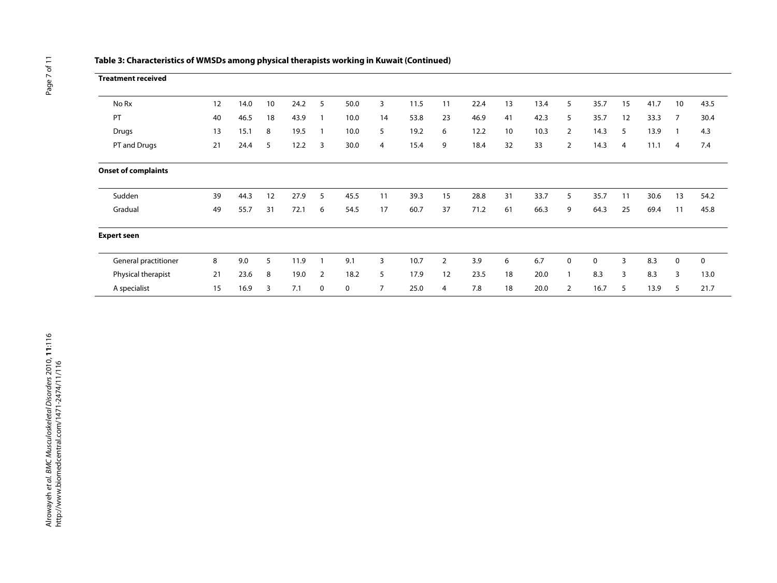| <b>Treatment received</b>  |    |      |    |      |   |      |                |      |                |      |    |      |                |      |    |      |                |      |
|----------------------------|----|------|----|------|---|------|----------------|------|----------------|------|----|------|----------------|------|----|------|----------------|------|
| No Rx                      | 12 | 14.0 | 10 | 24.2 | 5 | 50.0 | 3              | 11.5 | 11             | 22.4 | 13 | 13.4 | 5              | 35.7 | 15 | 41.7 | 10             | 43.5 |
| PT                         | 40 | 46.5 | 18 | 43.9 |   | 10.0 | 14             | 53.8 | 23             | 46.9 | 41 | 42.3 | 5              | 35.7 | 12 | 33.3 | $\overline{7}$ | 30.4 |
| Drugs                      | 13 | 15.1 | 8  | 19.5 |   | 10.0 | 5              | 19.2 | 6              | 12.2 | 10 | 10.3 | $\overline{2}$ | 14.3 | 5  | 13.9 |                | 4.3  |
| PT and Drugs               | 21 | 24.4 | 5  | 12.2 | 3 | 30.0 | 4              | 15.4 | 9              | 18.4 | 32 | 33   | $\overline{2}$ | 14.3 | 4  | 11.1 | $\overline{4}$ | 7.4  |
| <b>Onset of complaints</b> |    |      |    |      |   |      |                |      |                |      |    |      |                |      |    |      |                |      |
| Sudden                     | 39 | 44.3 | 12 | 27.9 | 5 | 45.5 | 11             | 39.3 | 15             | 28.8 | 31 | 33.7 | 5              | 35.7 | 11 | 30.6 | 13             | 54.2 |
| Gradual                    | 49 | 55.7 | 31 | 72.1 | 6 | 54.5 | 17             | 60.7 | 37             | 71.2 | 61 | 66.3 | 9              | 64.3 | 25 | 69.4 | 11             | 45.8 |
| <b>Expert seen</b>         |    |      |    |      |   |      |                |      |                |      |    |      |                |      |    |      |                |      |
| General practitioner       | 8  | 9.0  | 5  | 11.9 |   | 9.1  | 3              | 10.7 | $\overline{2}$ | 3.9  | 6  | 6.7  | 0              | 0    | 3  | 8.3  | $\mathbf 0$    | 0    |
| Physical therapist         | 21 | 23.6 | 8  | 19.0 | 2 | 18.2 | 5              | 17.9 | 12             | 23.5 | 18 | 20.0 | $\mathbf{1}$   | 8.3  | 3  | 8.3  | 3              | 13.0 |
| A specialist               | 15 | 16.9 | 3  | 7.1  | 0 | 0    | $\overline{7}$ | 25.0 | 4              | 7.8  | 18 | 20.0 | $\overline{2}$ | 16.7 | 5  | 13.9 | 5              | 21.7 |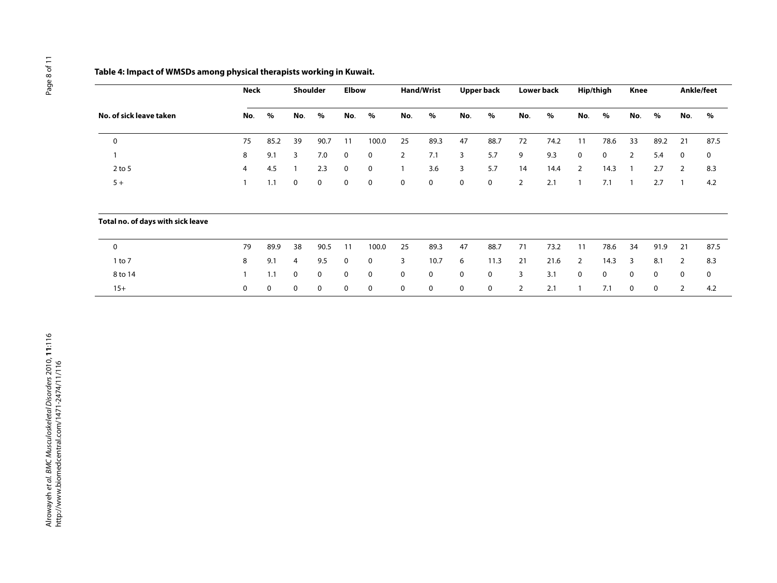## **Table 4: Impact of WMSDs among physical therapists working in Kuwait.**

|                                   | <b>Neck</b>    |      | <b>Shoulder</b> |             | <b>Elbow</b> |             | <b>Hand/Wrist</b> |             | <b>Upper back</b> |             | <b>Lower back</b> |      | Hip/thigh                |      | Knee           |             | Ankle/feet  |      |
|-----------------------------------|----------------|------|-----------------|-------------|--------------|-------------|-------------------|-------------|-------------------|-------------|-------------------|------|--------------------------|------|----------------|-------------|-------------|------|
| No. of sick leave taken           | No.            | $\%$ | No.             | $\%$        | No.          | %           | No.               | $\%$        | No.               | %           | No.               | $\%$ | No.                      | %    | No.            | $\%$        | No.         | $\%$ |
| $\mathbf 0$                       | 75             | 85.2 | 39              | 90.7        | 11           | 100.0       | 25                | 89.3        | 47                | 88.7        | 72                | 74.2 | 11                       | 78.6 | 33             | 89.2        | 21          | 87.5 |
| $\mathbf{1}$                      | 8              | 9.1  | 3               | 7.0         | 0            | 0           | $\overline{2}$    | 7.1         | 3                 | 5.7         | 9                 | 9.3  | $\mathbf 0$              | 0    | $\overline{2}$ | 5.4         | $\mathbf 0$ | 0    |
| $2$ to 5                          | $\overline{4}$ | 4.5  |                 | 2.3         | 0            | $\mathbf 0$ |                   | 3.6         | 3                 | 5.7         | 14                | 14.4 | $\overline{2}$           | 14.3 |                | 2.7         | 2           | 8.3  |
| $5+$                              |                | 1.1  | 0               | $\mathbf 0$ | 0            | 0           | $\mathbf 0$       | $\mathbf 0$ | 0                 | $\mathbf 0$ | $\overline{2}$    | 2.1  | $\mathbf{1}$             | 7.1  |                | 2.7         |             | 4.2  |
| Total no. of days with sick leave |                |      |                 |             |              |             |                   |             |                   |             |                   |      |                          |      |                |             |             |      |
| 0                                 | 79             | 89.9 | 38              | 90.5        | 11           | 100.0       | 25                | 89.3        | 47                | 88.7        | 71                | 73.2 | 11                       | 78.6 | 34             | 91.9        | 21          | 87.5 |
| $1$ to $7$                        | 8              | 9.1  | 4               | 9.5         | 0            | 0           | 3                 | 10.7        | 6                 | 11.3        | 21                | 21.6 | 2                        | 14.3 | 3              | 8.1         | 2           | 8.3  |
| 8 to 14                           |                | 1.1  | 0               | $\mathbf 0$ | 0            | 0           | $\mathbf 0$       | 0           | 0                 | 0           | 3                 | 3.1  | $\mathbf 0$              | 0    | $\Omega$       | $\mathbf 0$ | $\mathbf 0$ | 0    |
| $15+$                             | 0              | 0    | 0               | 0           | 0            | 0           | 0                 | 0           | 0                 | 0           | 2                 | 2.1  | $\overline{\phantom{a}}$ | 7.1  | $\mathbf{0}$   | 0           | 2           | 4.2  |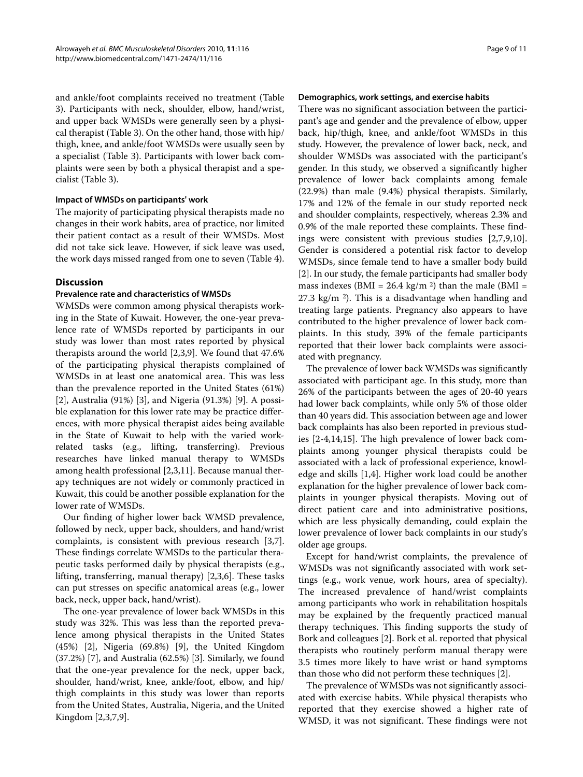and ankle/foot complaints received no treatment (Table 3). Participants with neck, shoulder, elbow, hand/wrist, and upper back WMSDs were generally seen by a physical therapist (Table 3). On the other hand, those with hip/ thigh, knee, and ankle/foot WMSDs were usually seen by a specialist (Table 3). Participants with lower back complaints were seen by both a physical therapist and a specialist (Table 3).

#### **Impact of WMSDs on participants' work**

The majority of participating physical therapists made no changes in their work habits, area of practice, nor limited their patient contact as a result of their WMSDs. Most did not take sick leave. However, if sick leave was used, the work days missed ranged from one to seven (Table 4).

#### **Discussion**

#### **Prevalence rate and characteristics of WMSDs**

WMSDs were common among physical therapists working in the State of Kuwait. However, the one-year prevalence rate of WMSDs reported by participants in our study was lower than most rates reported by physical therapists around the world [[2,](#page-9-1)[3](#page-9-2)[,9](#page-10-4)]. We found that 47.6% of the participating physical therapists complained of WMSDs in at least one anatomical area. This was less than the prevalence reported in the United States (61%) [[2\]](#page-9-1), Australia (91%) [\[3](#page-9-2)], and Nigeria (91.3%) [\[9\]](#page-10-4). A possible explanation for this lower rate may be practice differences, with more physical therapist aides being available in the State of Kuwait to help with the varied workrelated tasks (e.g., lifting, transferring). Previous researches have linked manual therapy to WMSDs among health professional [[2,](#page-9-1)[3](#page-9-2)[,11](#page-10-0)]. Because manual therapy techniques are not widely or commonly practiced in Kuwait, this could be another possible explanation for the lower rate of WMSDs.

Our finding of higher lower back WMSD prevalence, followed by neck, upper back, shoulders, and hand/wrist complaints, is consistent with previous research [[3](#page-9-2)[,7](#page-10-5)]. These findings correlate WMSDs to the particular therapeutic tasks performed daily by physical therapists (e.g., lifting, transferring, manual therapy) [[2](#page-9-1),[3,](#page-9-2)[6\]](#page-9-6). These tasks can put stresses on specific anatomical areas (e.g., lower back, neck, upper back, hand/wrist).

The one-year prevalence of lower back WMSDs in this study was 32%. This was less than the reported prevalence among physical therapists in the United States (45%) [\[2](#page-9-1)], Nigeria (69.8%) [\[9](#page-10-4)], the United Kingdom (37.2%) [[7\]](#page-10-5), and Australia (62.5%) [[3\]](#page-9-2). Similarly, we found that the one-year prevalence for the neck, upper back, shoulder, hand/wrist, knee, ankle/foot, elbow, and hip/ thigh complaints in this study was lower than reports from the United States, Australia, Nigeria, and the United Kingdom [\[2](#page-9-1)[,3](#page-9-2),[7](#page-10-5),[9\]](#page-10-4).

#### **Demographics, work settings, and exercise habits**

There was no significant association between the participant's age and gender and the prevalence of elbow, upper back, hip/thigh, knee, and ankle/foot WMSDs in this study. However, the prevalence of lower back, neck, and shoulder WMSDs was associated with the participant's gender. In this study, we observed a significantly higher prevalence of lower back complaints among female (22.9%) than male (9.4%) physical therapists. Similarly, 17% and 12% of the female in our study reported neck and shoulder complaints, respectively, whereas 2.3% and 0.9% of the male reported these complaints. These findings were consistent with previous studies [[2,](#page-9-1)[7,](#page-10-5)[9](#page-10-4)[,10](#page-10-1)]. Gender is considered a potential risk factor to develop WMSDs, since female tend to have a smaller body build [[2\]](#page-9-1). In our study, the female participants had smaller body mass indexes (BMI =  $26.4$  kg/m<sup>2</sup>) than the male (BMI =  $27.3 \text{ kg/m }^2$ ). This is a disadvantage when handling and treating large patients. Pregnancy also appears to have contributed to the higher prevalence of lower back complaints. In this study, 39% of the female participants reported that their lower back complaints were associated with pregnancy.

The prevalence of lower back WMSDs was significantly associated with participant age. In this study, more than 26% of the participants between the ages of 20-40 years had lower back complaints, while only 5% of those older than 40 years did. This association between age and lower back complaints has also been reported in previous studies [\[2](#page-9-1)-[4,](#page-9-3)[14,](#page-10-6)[15\]](#page-10-7). The high prevalence of lower back complaints among younger physical therapists could be associated with a lack of professional experience, knowledge and skills [[1,](#page-9-0)[4\]](#page-9-3). Higher work load could be another explanation for the higher prevalence of lower back complaints in younger physical therapists. Moving out of direct patient care and into administrative positions, which are less physically demanding, could explain the lower prevalence of lower back complaints in our study's older age groups.

Except for hand/wrist complaints, the prevalence of WMSDs was not significantly associated with work settings (e.g., work venue, work hours, area of specialty). The increased prevalence of hand/wrist complaints among participants who work in rehabilitation hospitals may be explained by the frequently practiced manual therapy techniques. This finding supports the study of Bork and colleagues [\[2](#page-9-1)]. Bork et al. reported that physical therapists who routinely perform manual therapy were 3.5 times more likely to have wrist or hand symptoms than those who did not perform these techniques [\[2](#page-9-1)].

The prevalence of WMSDs was not significantly associated with exercise habits. While physical therapists who reported that they exercise showed a higher rate of WMSD, it was not significant. These findings were not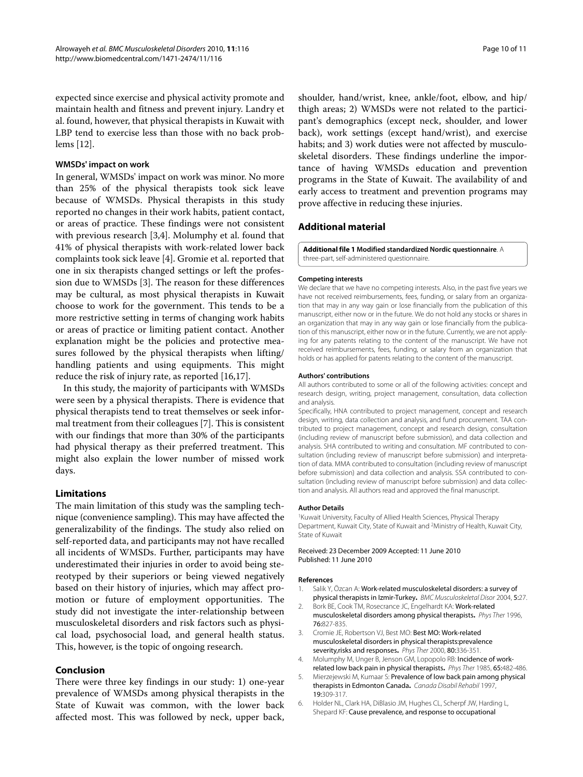expected since exercise and physical activity promote and maintain health and fitness and prevent injury. Landry et al. found, however, that physical therapists in Kuwait with LBP tend to exercise less than those with no back problems [\[12](#page-10-2)].

#### **WMSDs' impact on work**

In general, WMSDs' impact on work was minor. No more than 25% of the physical therapists took sick leave because of WMSDs. Physical therapists in this study reported no changes in their work habits, patient contact, or areas of practice. These findings were not consistent with previous research [\[3](#page-9-2),[4](#page-9-3)]. Molumphy et al. found that 41% of physical therapists with work-related lower back complaints took sick leave [[4\]](#page-9-3). Gromie et al. reported that one in six therapists changed settings or left the profession due to WMSDs [[3\]](#page-9-2). The reason for these differences may be cultural, as most physical therapists in Kuwait choose to work for the government. This tends to be a more restrictive setting in terms of changing work habits or areas of practice or limiting patient contact. Another explanation might be the policies and protective measures followed by the physical therapists when lifting/ handling patients and using equipments. This might reduce the risk of injury rate, as reported [[16](#page-10-8),[17\]](#page-10-9).

In this study, the majority of participants with WMSDs were seen by a physical therapists. There is evidence that physical therapists tend to treat themselves or seek informal treatment from their colleagues [[7\]](#page-10-5). This is consistent with our findings that more than 30% of the participants had physical therapy as their preferred treatment. This might also explain the lower number of missed work days.

#### **Limitations**

The main limitation of this study was the sampling technique (convenience sampling). This may have affected the generalizability of the findings. The study also relied on self-reported data, and participants may not have recalled all incidents of WMSDs. Further, participants may have underestimated their injuries in order to avoid being stereotyped by their superiors or being viewed negatively based on their history of injuries, which may affect promotion or future of employment opportunities. The study did not investigate the inter-relationship between musculoskeletal disorders and risk factors such as physical load, psychosocial load, and general health status. This, however, is the topic of ongoing research.

#### **Conclusion**

There were three key findings in our study: 1) one-year prevalence of WMSDs among physical therapists in the State of Kuwait was common, with the lower back affected most. This was followed by neck, upper back,

shoulder, hand/wrist, knee, ankle/foot, elbow, and hip/ thigh areas; 2) WMSDs were not related to the participant's demographics (except neck, shoulder, and lower back), work settings (except hand/wrist), and exercise habits; and 3) work duties were not affected by musculoskeletal disorders. These findings underline the importance of having WMSDs education and prevention programs in the State of Kuwait. The availability of and early access to treatment and prevention programs may prove affective in reducing these injuries.

#### **Additional material**

<span id="page-9-5"></span>**[Additional file 1](http://www.biomedcentral.com/content/supplementary/1471-2474-11-116-S1.DOC) Modified standardized Nordic questionnaire**. A three-part, self-administered questionnaire.

#### **Competing interests**

We declare that we have no competing interests. Also, in the past five years we have not received reimbursements, fees, funding, or salary from an organization that may in any way gain or lose financially from the publication of this manuscript, either now or in the future. We do not hold any stocks or shares in an organization that may in any way gain or lose financially from the publication of this manuscript, either now or in the future. Currently, we are not applying for any patents relating to the content of the manuscript. We have not received reimbursements, fees, funding, or salary from an organization that holds or has applied for patents relating to the content of the manuscript.

#### **Authors' contributions**

All authors contributed to some or all of the following activities: concept and research design, writing, project management, consultation, data collection and analysis.

Specifically, HNA contributed to project management, concept and research design, writing, data collection and analysis, and fund procurement. TAA contributed to project management, concept and research design, consultation (including review of manuscript before submission), and data collection and analysis. SHA contributed to writing and consultation. MF contributed to consultation (including review of manuscript before submission) and interpretation of data. MMA contributed to consultation (including review of manuscript before submission) and data collection and analysis. SSA contributed to consultation (including review of manuscript before submission) and data collection and analysis. All authors read and approved the final manuscript.

#### **Author Details**

1Kuwait University, Faculty of Allied Health Sciences, Physical Therapy Department, Kuwait City, State of Kuwait and 2Ministry of Health, Kuwait City, State of Kuwait

#### Received: 23 December 2009 Accepted: 11 June 2010 Published: 11 June 2010

#### **References**

- <span id="page-9-0"></span>1. Salik Y, Özcan A: Work-related musculoskeletal disorders: a survey of physical therapists in Izmir-Turkey**.** BMC Musculoskeletal Disor 2004, 5:27.
- <span id="page-9-1"></span>2. Bork BE, Cook TM, Rosecrance JC, Engelhardt KA: Work-related musculoskeletal disorders among physical therapists**.** Phys Ther 1996, 76:827-835.
- <span id="page-9-2"></span>3. Cromie JE, Robertson VJ, Best MO: Best MO: Work-related musculoskeletal disorders in physical therapists:prevalence severity,risks and response[s](http://www.ncbi.nlm.nih.gov/entrez/query.fcgi?cmd=Retrieve&db=PubMed&dopt=Abstract&list_uids=10758519)**.** Phys Ther 2000, 80:336-351.
- <span id="page-9-3"></span>4. Molumphy M, Unger B, Jenson GM, Lopopolo RB: Incidence of workrelated low back pain in physical therapists**.** Phys Ther 1985, 65:482-486.
- <span id="page-9-4"></span>5. Mierzejewski M, Kumaar S: Prevalence of low back pain among physical therapists in Edmonton Canada**.** Canada Disabil Rehabil 1997, 19:309-317.
- <span id="page-9-6"></span>6. Holder NL, Clark HA, DiBlasio JM, Hughes CL, Scherpf JW, Harding L, Shepard KF: Cause prevalence, and response to occupational